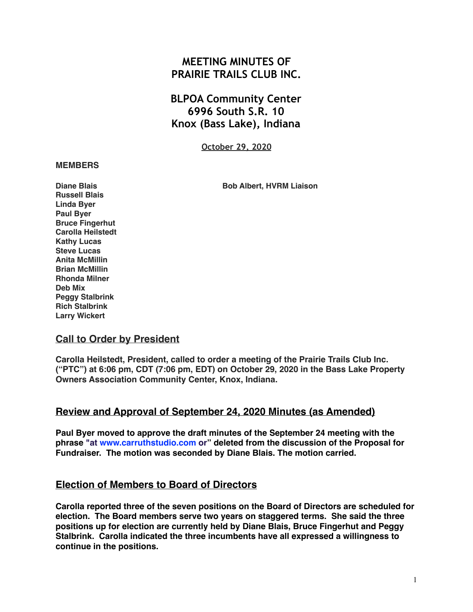# **MEETING MINUTES OF PRAIRIE TRAILS CLUB INC.**

**BLPOA Community Center 6996 South S.R. 10 Knox (Bass Lake), Indiana**

**October 29, 2020**

#### **MEMBERS**

**Diane Blais Bob Albert, HVRM Liaison** 

**Russell Blais Linda Byer Paul Byer Bruce Fingerhut Carolla Heilstedt Kathy Lucas Steve Lucas Anita McMillin Brian McMillin Rhonda Milner Deb Mix Peggy Stalbrink Rich Stalbrink Larry Wickert**

### **Call to Order by President**

**Carolla Heilstedt, President, called to order a meeting of the Prairie Trails Club Inc. ("PTC") at 6:06 pm, CDT (7:06 pm, EDT) on October 29, 2020 in the Bass Lake Property Owners Association Community Center, Knox, Indiana.**

## **Review and Approval of September 24, 2020 Minutes (as Amended)**

**Paul Byer moved to approve the draft minutes of the September 24 meeting with the phrase "at [www.carruthstudio.com](http://www.carruthstudio.com/) or" deleted from the discussion of the Proposal for Fundraiser. The motion was seconded by Diane Blais. The motion carried.**

### **Election of Members to Board of Directors**

**Carolla reported three of the seven positions on the Board of Directors are scheduled for election. The Board members serve two years on staggered terms. She said the three positions up for election are currently held by Diane Blais, Bruce Fingerhut and Peggy Stalbrink. Carolla indicated the three incumbents have all expressed a willingness to continue in the positions.**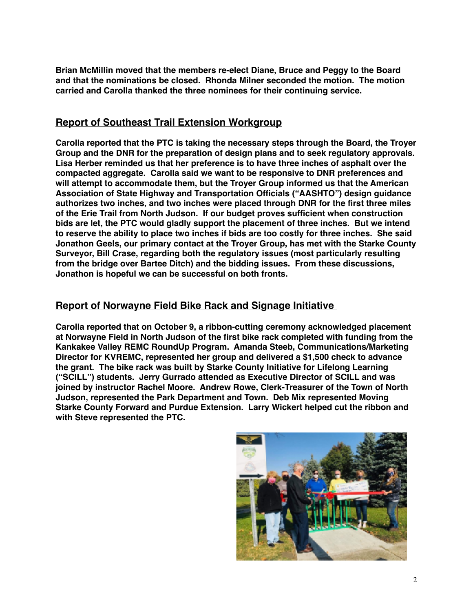**Brian McMillin moved that the members re-elect Diane, Bruce and Peggy to the Board and that the nominations be closed. Rhonda Milner seconded the motion. The motion carried and Carolla thanked the three nominees for their continuing service.**

# **Report of Southeast Trail Extension Workgroup**

**Carolla reported that the PTC is taking the necessary steps through the Board, the Troyer Group and the DNR for the preparation of design plans and to seek regulatory approvals. Lisa Herber reminded us that her preference is to have three inches of asphalt over the compacted aggregate. Carolla said we want to be responsive to DNR preferences and will attempt to accommodate them, but the Troyer Group informed us that the American Association of State Highway and Transportation Officials ("AASHTO") design guidance authorizes two inches, and two inches were placed through DNR for the first three miles of the Erie Trail from North Judson. If our budget proves sufficient when construction bids are let, the PTC would gladly support the placement of three inches. But we intend to reserve the ability to place two inches if bids are too costly for three inches. She said Jonathon Geels, our primary contact at the Troyer Group, has met with the Starke County Surveyor, Bill Crase, regarding both the regulatory issues (most particularly resulting from the bridge over Bartee Ditch) and the bidding issues. From these discussions, Jonathon is hopeful we can be successful on both fronts.**

## **Report of Norwayne Field Bike Rack and Signage Initiative**

**Carolla reported that on October 9, a ribbon-cutting ceremony acknowledged placement at Norwayne Field in North Judson of the first bike rack completed with funding from the Kankakee Valley REMC RoundUp Program. Amanda Steeb, Communications/Marketing Director for KVREMC, represented her group and delivered a \$1,500 check to advance the grant. The bike rack was built by Starke County Initiative for Lifelong Learning ("SCILL") students. Jerry Gurrado attended as Executive Director of SCILL and was joined by instructor Rachel Moore. Andrew Rowe, Clerk-Treasurer of the Town of North Judson, represented the Park Department and Town. Deb Mix represented Moving Starke County Forward and Purdue Extension. Larry Wickert helped cut the ribbon and with Steve represented the PTC.**

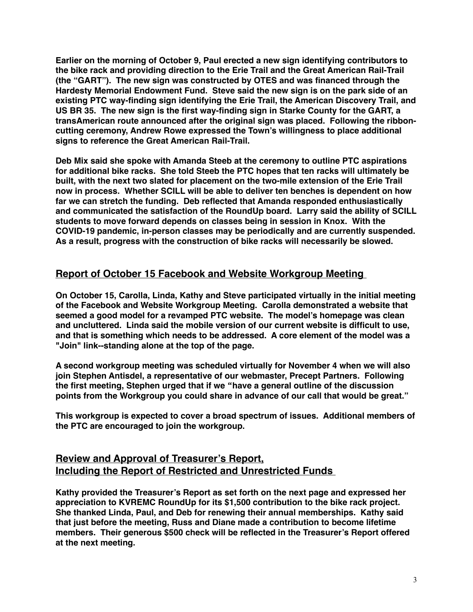**Earlier on the morning of October 9, Paul erected a new sign identifying contributors to the bike rack and providing direction to the Erie Trail and the Great American Rail-Trail (the "GART"). The new sign was constructed by OTES and was financed through the Hardesty Memorial Endowment Fund. Steve said the new sign is on the park side of an existing PTC way-finding sign identifying the Erie Trail, the American Discovery Trail, and US BR 35. The new sign is the first way-finding sign in Starke County for the GART, a transAmerican route announced after the original sign was placed. Following the ribboncutting ceremony, Andrew Rowe expressed the Town's willingness to place additional signs to reference the Great American Rail-Trail.** 

**Deb Mix said she spoke with Amanda Steeb at the ceremony to outline PTC aspirations for additional bike racks. She told Steeb the PTC hopes that ten racks will ultimately be built, with the next two slated for placement on the two-mile extension of the Erie Trail now in process. Whether SCILL will be able to deliver ten benches is dependent on how far we can stretch the funding. Deb reflected that Amanda responded enthusiastically and communicated the satisfaction of the RoundUp board. Larry said the ability of SCILL students to move forward depends on classes being in session in Knox. With the COVID-19 pandemic, in-person classes may be periodically and are currently suspended. As a result, progress with the construction of bike racks will necessarily be slowed.**

## **Report of October 15 Facebook and Website Workgroup Meeting**

**On October 15, Carolla, Linda, Kathy and Steve participated virtually in the initial meeting of the Facebook and Website Workgroup Meeting. Carolla demonstrated a website that seemed a good model for a revamped PTC website. The model's homepage was clean and uncluttered. Linda said the mobile version of our current website is difficult to use, and that is something which needs to be addressed. A core element of the model was a "Join" link--standing alone at the top of the page.**

**A second workgroup meeting was scheduled virtually for November 4 when we will also join Stephen Antisdel, a representative of our webmaster, Precept Partners. Following the first meeting, Stephen urged that if we "have a general outline of the discussion points from the Workgroup you could share in advance of our call that would be great."**

**This workgroup is expected to cover a broad spectrum of issues. Additional members of the PTC are encouraged to join the workgroup.**

# **Review and Approval of Treasurer's Report, Including the Report of Restricted and Unrestricted Funds**

**Kathy provided the Treasurer's Report as set forth on the next page and expressed her appreciation to KVREMC RoundUp for its \$1,500 contribution to the bike rack project. She thanked Linda, Paul, and Deb for renewing their annual memberships. Kathy said that just before the meeting, Russ and Diane made a contribution to become lifetime members. Their generous \$500 check will be reflected in the Treasurer's Report offered at the next meeting.**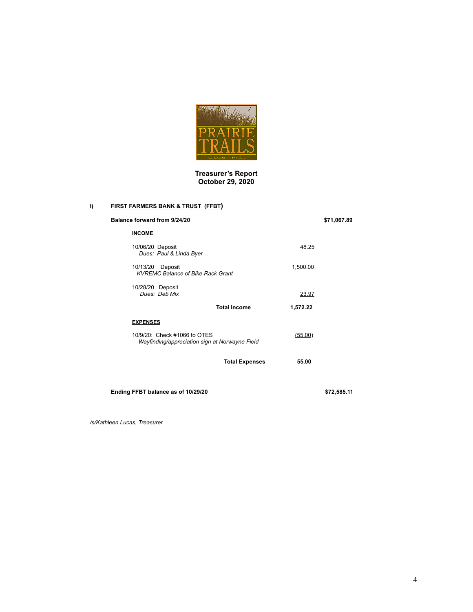

**Treasurer's Report October 29, 2020**

#### **I) FIRST FARMERS BANK & TRUST (FFBT)**

| Balance forward from 9/24/20                |                                                |          | \$71,067.89 |
|---------------------------------------------|------------------------------------------------|----------|-------------|
| <b>INCOME</b>                               |                                                |          |             |
| 10/06/20 Deposit<br>Dues: Paul & Linda Byer |                                                | 48.25    |             |
| 10/13/20 Deposit                            | <b>KVREMC Balance of Bike Rack Grant</b>       | 1,500.00 |             |
| 10/28/20 Deposit<br>Dues: Deb Mix           |                                                | 23.97    |             |
|                                             | <b>Total Income</b>                            | 1,572.22 |             |
| <b>EXPENSES</b>                             |                                                |          |             |
| 10/9/20: Check #1066 to OTES                | Wayfinding/appreciation sign at Norwayne Field | (55.00)  |             |
|                                             | <b>Total Expenses</b>                          | 55.00    |             |
|                                             |                                                |          |             |

**Ending FFBT balance as of 10/29/20 \$72,585.11**

*/s/Kathleen Lucas, Treasurer*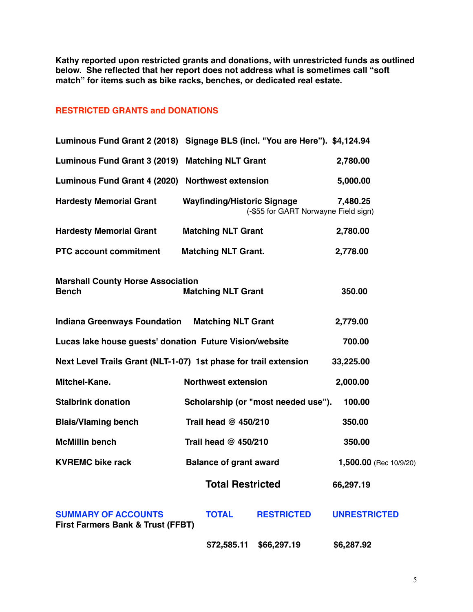**Kathy reported upon restricted grants and donations, with unrestricted funds as outlined below. She reflected that her report does not address what is sometimes call "soft match" for items such as bike racks, benches, or dedicated real estate.**

### **RESTRICTED GRANTS and DONATIONS**

|                                                                            | Luminous Fund Grant 2 (2018) Signage BLS (incl. "You are Here"). \$4,124.94 |                        |
|----------------------------------------------------------------------------|-----------------------------------------------------------------------------|------------------------|
| Luminous Fund Grant 3 (2019) Matching NLT Grant                            |                                                                             | 2,780.00               |
| Luminous Fund Grant 4 (2020) Northwest extension                           |                                                                             | 5,000.00               |
| <b>Hardesty Memorial Grant</b>                                             | <b>Wayfinding/Historic Signage</b><br>(-\$55 for GART Norwayne Field sign)  | 7,480.25               |
| <b>Hardesty Memorial Grant</b>                                             | <b>Matching NLT Grant</b>                                                   | 2,780.00               |
| <b>PTC account commitment</b>                                              | <b>Matching NLT Grant.</b>                                                  | 2,778.00               |
| <b>Marshall County Horse Association</b><br><b>Bench</b>                   | <b>Matching NLT Grant</b>                                                   | 350.00                 |
| <b>Indiana Greenways Foundation Matching NLT Grant</b>                     |                                                                             | 2,779.00               |
| Lucas lake house guests' donation Future Vision/website                    |                                                                             | 700.00                 |
|                                                                            | Next Level Trails Grant (NLT-1-07) 1st phase for trail extension            | 33,225.00              |
| Mitchel-Kane.                                                              | <b>Northwest extension</b>                                                  | 2,000.00               |
| <b>Stalbrink donation</b>                                                  | Scholarship (or "most needed use").                                         | 100.00                 |
| <b>Blais/Vlaming bench</b>                                                 | Trail head @ 450/210                                                        | 350.00                 |
| <b>McMillin bench</b>                                                      | Trail head @ 450/210                                                        | 350.00                 |
| <b>KVREMC bike rack</b>                                                    | <b>Balance of grant award</b>                                               | 1,500.00 (Rec 10/9/20) |
|                                                                            | <b>Total Restricted</b>                                                     | 66,297.19              |
| <b>SUMMARY OF ACCOUNTS</b><br><b>First Farmers Bank &amp; Trust (FFBT)</b> | <b>TOTAL</b><br><b>RESTRICTED</b>                                           | <b>UNRESTRICTED</b>    |
|                                                                            | \$72,585.11<br>\$66,297.19                                                  | \$6,287.92             |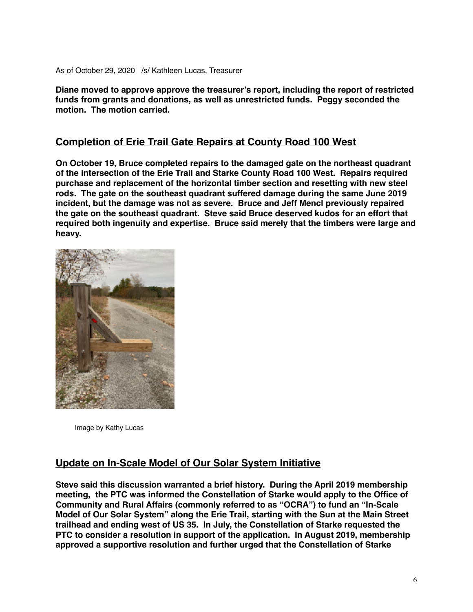As of October 29, 2020 /s/ Kathleen Lucas, Treasurer

**Diane moved to approve approve the treasurer's report, including the report of restricted funds from grants and donations, as well as unrestricted funds. Peggy seconded the motion. The motion carried.**

## **Completion of Erie Trail Gate Repairs at County Road 100 West**

**On October 19, Bruce completed repairs to the damaged gate on the northeast quadrant of the intersection of the Erie Trail and Starke County Road 100 West. Repairs required purchase and replacement of the horizontal timber section and resetting with new steel rods. The gate on the southeast quadrant suffered damage during the same June 2019 incident, but the damage was not as severe. Bruce and Jeff Mencl previously repaired the gate on the southeast quadrant. Steve said Bruce deserved kudos for an effort that required both ingenuity and expertise. Bruce said merely that the timbers were large and heavy.**



Image by Kathy Lucas

### **Update on In-Scale Model of Our Solar System Initiative**

**Steve said this discussion warranted a brief history. During the April 2019 membership meeting, the PTC was informed the Constellation of Starke would apply to the Office of Community and Rural Affairs (commonly referred to as "OCRA") to fund an "In-Scale Model of Our Solar System" along the Erie Trail, starting with the Sun at the Main Street trailhead and ending west of US 35. In July, the Constellation of Starke requested the PTC to consider a resolution in support of the application. In August 2019, membership approved a supportive resolution and further urged that the Constellation of Starke**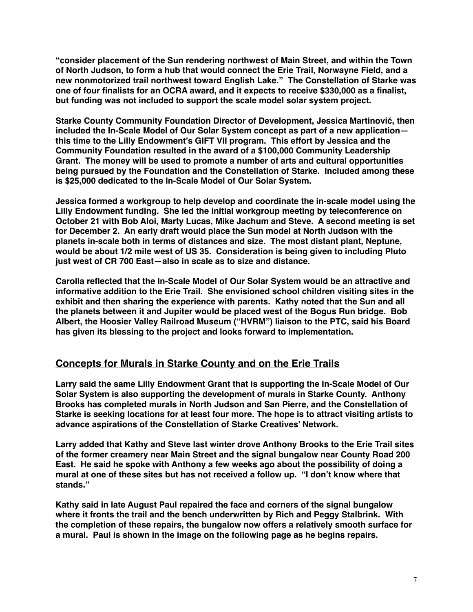**"consider placement of the Sun rendering northwest of Main Street, and within the Town of North Judson, to form a hub that would connect the Erie Trail, Norwayne Field, and a new nonmotorized trail northwest toward English Lake." The Constellation of Starke was one of four finalists for an OCRA award, and it expects to receive \$330,000 as a finalist, but funding was not included to support the scale model solar system project.**

**Starke County Community Foundation Director of Development, Jessica Martinović, then included the In-Scale Model of Our Solar System concept as part of a new application this time to the Lilly Endowment's GIFT VII program. This effort by Jessica and the Community Foundation resulted in the award of a \$100,000 Community Leadership Grant. The money will be used to promote a number of arts and cultural opportunities being pursued by the Foundation and the Constellation of Starke. Included among these is \$25,000 dedicated to the In-Scale Model of Our Solar System.**

**Jessica formed a workgroup to help develop and coordinate the in-scale model using the Lilly Endowment funding. She led the initial workgroup meeting by teleconference on October 21 with Bob Aloi, Marty Lucas, Mike Jachum and Steve. A second meeting is set for December 2. An early draft would place the Sun model at North Judson with the planets in-scale both in terms of distances and size. The most distant plant, Neptune, would be about 1/2 mile west of US 35. Consideration is being given to including Pluto just west of CR 700 East—also in scale as to size and distance.**

**Carolla reflected that the In-Scale Model of Our Solar System would be an attractive and informative addition to the Erie Trail. She envisioned school children visiting sites in the exhibit and then sharing the experience with parents. Kathy noted that the Sun and all the planets between it and Jupiter would be placed west of the Bogus Run bridge. Bob Albert, the Hoosier Valley Railroad Museum ("HVRM") liaison to the PTC, said his Board has given its blessing to the project and looks forward to implementation.**

## **Concepts for Murals in Starke County and on the Erie Trails**

**Larry said the same Lilly Endowment Grant that is supporting the In-Scale Model of Our Solar System is also supporting the development of murals in Starke County. Anthony Brooks has completed murals in North Judson and San Pierre, and the Constellation of Starke is seeking locations for at least four more. The hope is to attract visiting artists to advance aspirations of the Constellation of Starke Creatives' Network.**

**Larry added that Kathy and Steve last winter drove Anthony Brooks to the Erie Trail sites of the former creamery near Main Street and the signal bungalow near County Road 200 East. He said he spoke with Anthony a few weeks ago about the possibility of doing a mural at one of these sites but has not received a follow up. "I don't know where that stands."** 

**Kathy said in late August Paul repaired the face and corners of the signal bungalow where it fronts the trail and the bench underwritten by Rich and Peggy Stalbrink. With the completion of these repairs, the bungalow now offers a relatively smooth surface for a mural. Paul is shown in the image on the following page as he begins repairs.**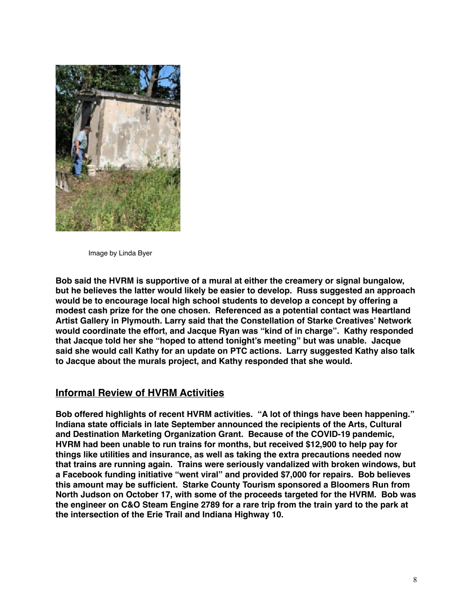

Image by Linda Byer

**Bob said the HVRM is supportive of a mural at either the creamery or signal bungalow, but he believes the latter would likely be easier to develop. Russ suggested an approach would be to encourage local high school students to develop a concept by offering a modest cash prize for the one chosen. Referenced as a potential contact was Heartland Artist Gallery in Plymouth. Larry said that the Constellation of Starke Creatives' Network would coordinate the effort, and Jacque Ryan was "kind of in charge". Kathy responded that Jacque told her she "hoped to attend tonight's meeting" but was unable. Jacque said she would call Kathy for an update on PTC actions. Larry suggested Kathy also talk to Jacque about the murals project, and Kathy responded that she would.**

## **Informal Review of HVRM Activities**

**Bob offered highlights of recent HVRM activities. "A lot of things have been happening." Indiana state officials in late September announced the recipients of the Arts, Cultural and Destination Marketing Organization Grant. Because of the COVID-19 pandemic, HVRM had been unable to run trains for months, but received \$12,900 to help pay for things like utilities and insurance, as well as taking the extra precautions needed now that trains are running again. Trains were seriously vandalized with broken windows, but a Facebook funding initiative "went viral" and provided \$7,000 for repairs. Bob believes this amount may be sufficient. Starke County Tourism sponsored a Bloomers Run from North Judson on October 17, with some of the proceeds targeted for the HVRM. Bob was the engineer on C&O Steam Engine 2789 for a rare trip from the train yard to the park at the intersection of the Erie Trail and Indiana Highway 10.**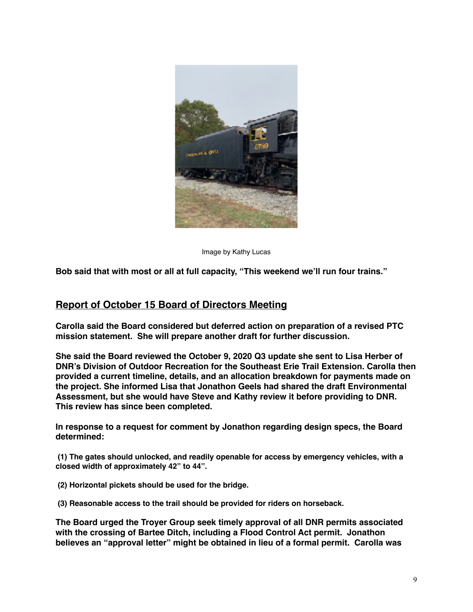

Image by Kathy Lucas

**Bob said that with most or all at full capacity, "This weekend we'll run four trains."**

### **Report of October 15 Board of Directors Meeting**

**Carolla said the Board considered but deferred action on preparation of a revised PTC mission statement. She will prepare another draft for further discussion.**

**She said the Board reviewed the October 9, 2020 Q3 update she sent to Lisa Herber of DNR's Division of Outdoor Recreation for the Southeast Erie Trail Extension. Carolla then provided a current timeline, details, and an allocation breakdown for payments made on the project. She informed Lisa that Jonathon Geels had shared the draft Environmental Assessment, but she would have Steve and Kathy review it before providing to DNR. This review has since been completed.**

**In response to a request for comment by Jonathon regarding design specs, the Board determined:**

 **(1) The gates should unlocked, and readily openable for access by emergency vehicles, with a closed width of approximately 42" to 44".** 

 **(2) Horizontal pickets should be used for the bridge.**

 **(3) Reasonable access to the trail should be provided for riders on horseback.**

**The Board urged the Troyer Group seek timely approval of all DNR permits associated with the crossing of Bartee Ditch, including a Flood Control Act permit. Jonathon believes an "approval letter" might be obtained in lieu of a formal permit. Carolla was**